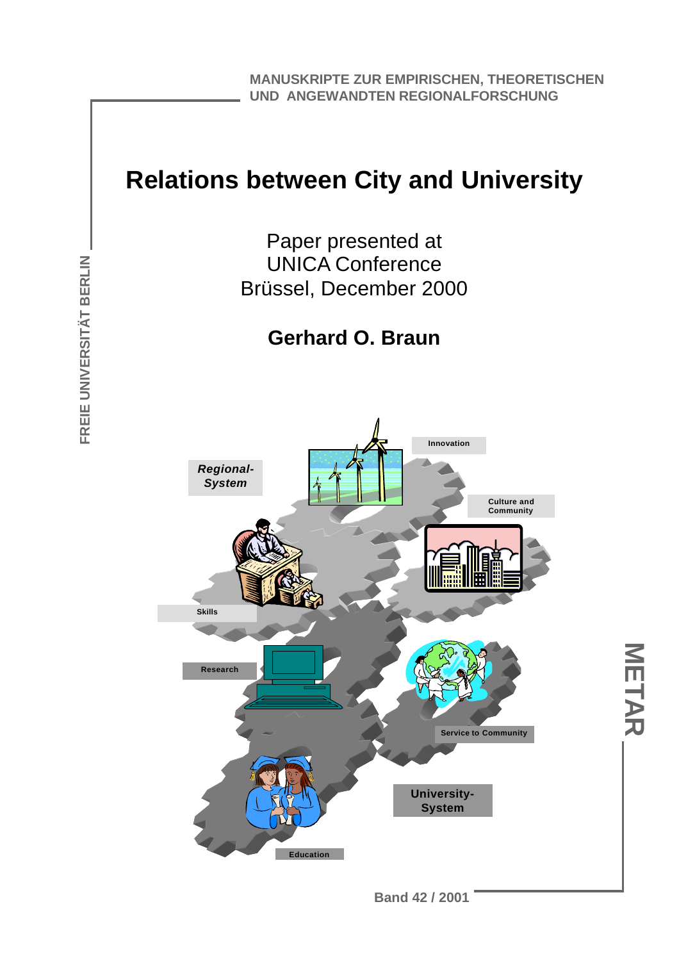**MANUSKRIPTE ZUR EMPIRISCHEN, THEORETISCHEN UND ANGEWANDTEN REGIONALFORSCHUNG**

### **Relations between City and University**

Paper presented at UNICA Conference Brüssel, December 2000

#### **Gerhard O. Braun**



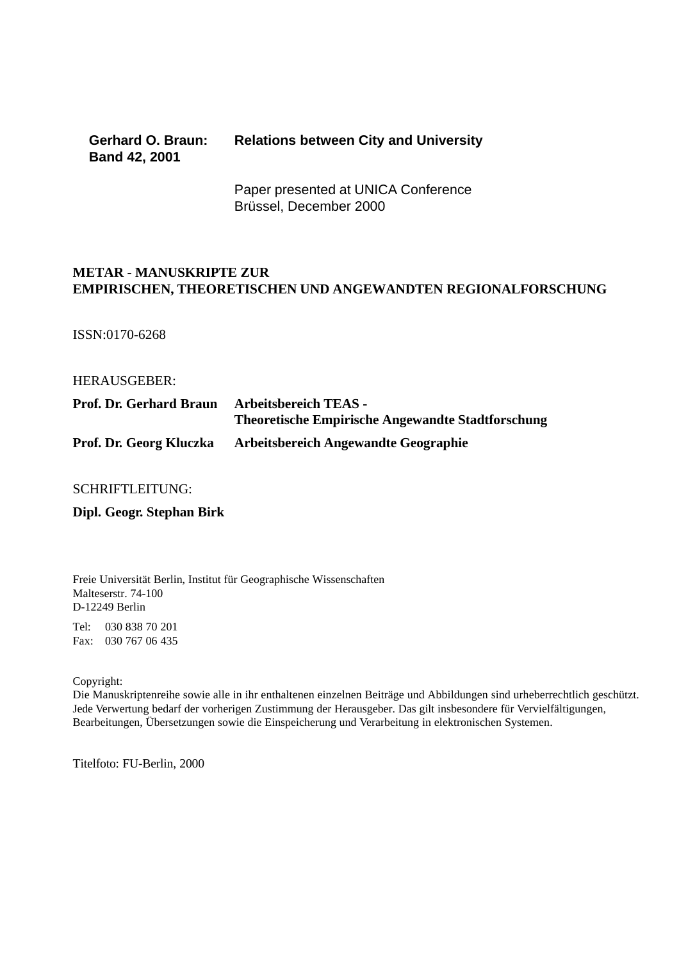#### **Gerhard O. Braun: Relations between City and University Band 42, 2001**

Paper presented at UNICA Conference Brüssel, December 2000

#### **METAR - MANUSKRIPTE ZUR EMPIRISCHEN, THEORETISCHEN UND ANGEWANDTEN REGIONALFORSCHUNG**

ISSN:0170-6268

HERAUSGEBER:

| <b>Prof. Dr. Gerhard Braun</b> | <b>Arbeitsbereich TEAS -</b><br><b>Theoretische Empirische Angewandte Stadtforschung</b> |
|--------------------------------|------------------------------------------------------------------------------------------|
| Prof. Dr. Georg Kluczka        | <b>Arbeitsbereich Angewandte Geographie</b>                                              |

SCHRIFTLEITUNG:

**Dipl. Geogr. Stephan Birk**

Freie Universität Berlin, Institut für Geographische Wissenschaften Malteserstr. 74-100 D-12249 Berlin

Tel: 030 838 70 201 Fax: 030 767 06 435

Copyright:

Die Manuskriptenreihe sowie alle in ihr enthaltenen einzelnen Beiträge und Abbildungen sind urheberrechtlich geschützt. Jede Verwertung bedarf der vorherigen Zustimmung der Herausgeber. Das gilt insbesondere für Vervielfältigungen, Bearbeitungen, Übersetzungen sowie die Einspeicherung und Verarbeitung in elektronischen Systemen.

Titelfoto: FU-Berlin, 2000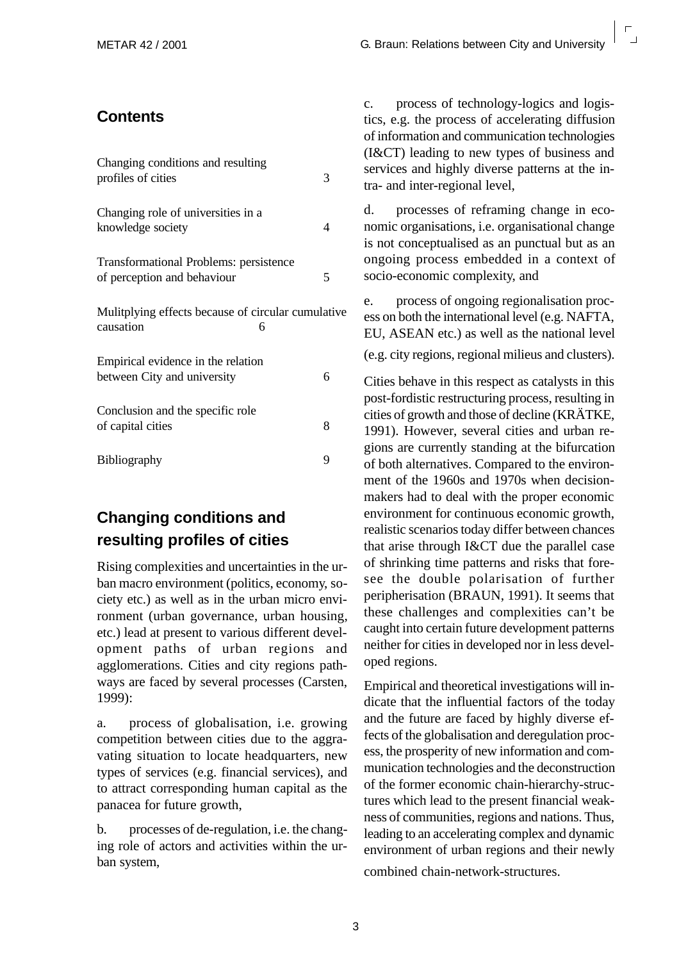#### **Contents**

| Changing conditions and resulting<br>profiles of cities                      | 3 |
|------------------------------------------------------------------------------|---|
| Changing role of universities in a<br>knowledge society                      | 4 |
| <b>Transformational Problems: persistence</b><br>of perception and behaviour | 5 |
| Mulitplying effects because of circular cumulative.<br>causation<br>6        |   |
| Empirical evidence in the relation<br>between City and university            | 6 |
| Conclusion and the specific role<br>of capital cities                        | 8 |
| Bibliography                                                                 | 9 |

#### **Changing conditions and resulting profiles of cities**

Rising complexities and uncertainties in the urban macro environment (politics, economy, society etc.) as well as in the urban micro environment (urban governance, urban housing, etc.) lead at present to various different development paths of urban regions and agglomerations. Cities and city regions pathways are faced by several processes (Carsten, 1999):

a. process of globalisation, i.e. growing competition between cities due to the aggravating situation to locate headquarters, new types of services (e.g. financial services), and to attract corresponding human capital as the panacea for future growth,

b. processes of de-regulation, i.e. the changing role of actors and activities within the urban system,

c. process of technology-logics and logistics, e.g. the process of accelerating diffusion of information and communication technologies (I&CT) leading to new types of business and services and highly diverse patterns at the intra- and inter-regional level,

d. processes of reframing change in economic organisations, i.e. organisational change is not conceptualised as an punctual but as an ongoing process embedded in a context of socio-economic complexity, and

e. process of ongoing regionalisation process on both the international level (e.g. NAFTA, EU, ASEAN etc.) as well as the national level (e.g. city regions, regional milieus and clusters).

Cities behave in this respect as catalysts in this post-fordistic restructuring process, resulting in cities of growth and those of decline (KRÄTKE, 1991). However, several cities and urban regions are currently standing at the bifurcation of both alternatives. Compared to the environment of the 1960s and 1970s when decisionmakers had to deal with the proper economic environment for continuous economic growth, realistic scenarios today differ between chances that arise through I&CT due the parallel case of shrinking time patterns and risks that foresee the double polarisation of further peripherisation (BRAUN, 1991). It seems that these challenges and complexities can't be caught into certain future development patterns neither for cities in developed nor in less developed regions.

Empirical and theoretical investigations will indicate that the influential factors of the today and the future are faced by highly diverse effects of the globalisation and deregulation process, the prosperity of new information and communication technologies and the deconstruction of the former economic chain-hierarchy-structures which lead to the present financial weakness of communities, regions and nations. Thus, leading to an accelerating complex and dynamic environment of urban regions and their newly combined chain-network-structures.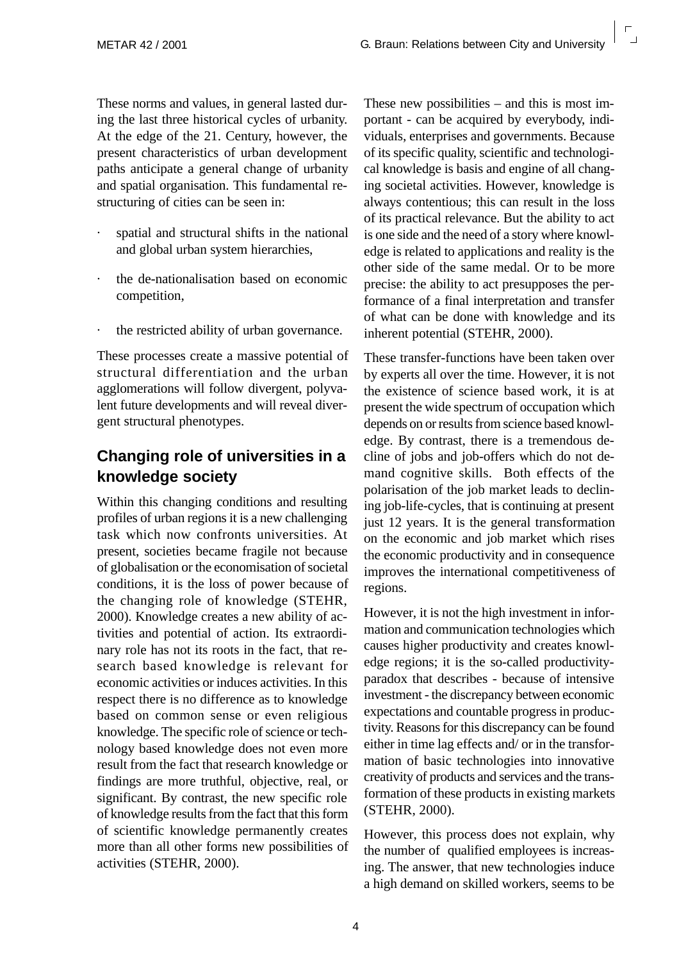These norms and values, in general lasted during the last three historical cycles of urbanity. At the edge of the 21. Century, however, the present characteristics of urban development paths anticipate a general change of urbanity and spatial organisation. This fundamental restructuring of cities can be seen in:

- spatial and structural shifts in the national and global urban system hierarchies,
- · the de-nationalisation based on economic competition,
- the restricted ability of urban governance.

These processes create a massive potential of structural differentiation and the urban agglomerations will follow divergent, polyvalent future developments and will reveal divergent structural phenotypes.

#### **Changing role of universities in a knowledge society**

Within this changing conditions and resulting profiles of urban regions it is a new challenging task which now confronts universities. At present, societies became fragile not because of globalisation or the economisation of societal conditions, it is the loss of power because of the changing role of knowledge (STEHR, 2000). Knowledge creates a new ability of activities and potential of action. Its extraordinary role has not its roots in the fact, that research based knowledge is relevant for economic activities or induces activities. In this respect there is no difference as to knowledge based on common sense or even religious knowledge. The specific role of science or technology based knowledge does not even more result from the fact that research knowledge or findings are more truthful, objective, real, or significant. By contrast, the new specific role of knowledge results from the fact that this form of scientific knowledge permanently creates more than all other forms new possibilities of activities (STEHR, 2000).

These new possibilities – and this is most important - can be acquired by everybody, individuals, enterprises and governments. Because of its specific quality, scientific and technological knowledge is basis and engine of all changing societal activities. However, knowledge is always contentious; this can result in the loss of its practical relevance. But the ability to act is one side and the need of a story where knowledge is related to applications and reality is the other side of the same medal. Or to be more precise: the ability to act presupposes the performance of a final interpretation and transfer of what can be done with knowledge and its inherent potential (STEHR, 2000).

These transfer-functions have been taken over by experts all over the time. However, it is not the existence of science based work, it is at present the wide spectrum of occupation which depends on or results from science based knowledge. By contrast, there is a tremendous decline of jobs and job-offers which do not demand cognitive skills. Both effects of the polarisation of the job market leads to declining job-life-cycles, that is continuing at present just 12 years. It is the general transformation on the economic and job market which rises the economic productivity and in consequence improves the international competitiveness of regions.

However, it is not the high investment in information and communication technologies which causes higher productivity and creates knowledge regions; it is the so-called productivityparadox that describes - because of intensive investment - the discrepancy between economic expectations and countable progress in productivity. Reasons for this discrepancy can be found either in time lag effects and/ or in the transformation of basic technologies into innovative creativity of products and services and the transformation of these products in existing markets (STEHR, 2000).

However, this process does not explain, why the number of qualified employees is increasing. The answer, that new technologies induce a high demand on skilled workers, seems to be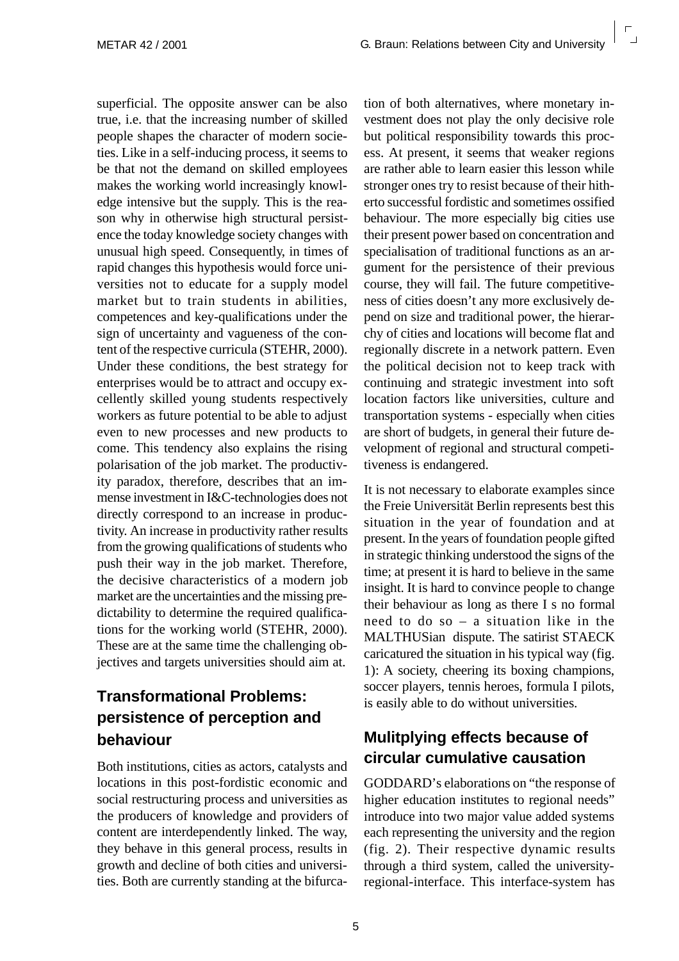superficial. The opposite answer can be also true, i.e. that the increasing number of skilled people shapes the character of modern societies. Like in a self-inducing process, it seems to be that not the demand on skilled employees makes the working world increasingly knowledge intensive but the supply. This is the reason why in otherwise high structural persistence the today knowledge society changes with unusual high speed. Consequently, in times of rapid changes this hypothesis would force universities not to educate for a supply model market but to train students in abilities, competences and key-qualifications under the sign of uncertainty and vagueness of the content of the respective curricula (STEHR, 2000). Under these conditions, the best strategy for enterprises would be to attract and occupy excellently skilled young students respectively workers as future potential to be able to adjust even to new processes and new products to come. This tendency also explains the rising polarisation of the job market. The productivity paradox, therefore, describes that an immense investment in I&C-technologies does not directly correspond to an increase in productivity. An increase in productivity rather results from the growing qualifications of students who push their way in the job market. Therefore, the decisive characteristics of a modern job market are the uncertainties and the missing predictability to determine the required qualifications for the working world (STEHR, 2000). These are at the same time the challenging objectives and targets universities should aim at.

#### **Transformational Problems: persistence of perception and behaviour**

Both institutions, cities as actors, catalysts and locations in this post-fordistic economic and social restructuring process and universities as the producers of knowledge and providers of content are interdependently linked. The way, they behave in this general process, results in growth and decline of both cities and universities. Both are currently standing at the bifurca-

tion of both alternatives, where monetary investment does not play the only decisive role but political responsibility towards this process. At present, it seems that weaker regions are rather able to learn easier this lesson while stronger ones try to resist because of their hitherto successful fordistic and sometimes ossified behaviour. The more especially big cities use their present power based on concentration and specialisation of traditional functions as an argument for the persistence of their previous course, they will fail. The future competitiveness of cities doesn't any more exclusively depend on size and traditional power, the hierarchy of cities and locations will become flat and regionally discrete in a network pattern. Even the political decision not to keep track with continuing and strategic investment into soft location factors like universities, culture and transportation systems - especially when cities are short of budgets, in general their future development of regional and structural competitiveness is endangered.

It is not necessary to elaborate examples since the Freie Universität Berlin represents best this situation in the year of foundation and at present. In the years of foundation people gifted in strategic thinking understood the signs of the time; at present it is hard to believe in the same insight. It is hard to convince people to change their behaviour as long as there I s no formal need to do so – a situation like in the MALTHUSian dispute. The satirist STAECK caricatured the situation in his typical way (fig. 1): A society, cheering its boxing champions, soccer players, tennis heroes, formula I pilots, is easily able to do without universities.

#### **Mulitplying effects because of circular cumulative causation**

GODDARD's elaborations on "the response of higher education institutes to regional needs" introduce into two major value added systems each representing the university and the region (fig. 2). Their respective dynamic results through a third system, called the universityregional-interface. This interface-system has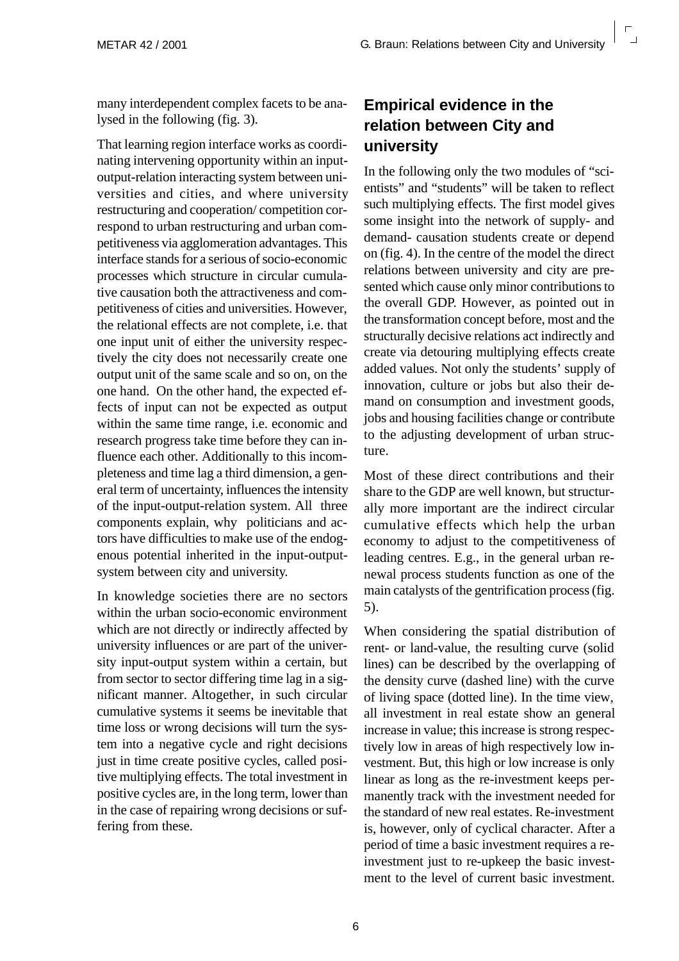many interdependent complex facets to be analysed in the following (fig. 3).

That learning region interface works as coordinating intervening opportunity within an inputoutput-relation interacting system between universities and cities, and where university restructuring and cooperation/ competition correspond to urban restructuring and urban competitiveness via agglomeration advantages. This interface stands for a serious of socio-economic processes which structure in circular cumulative causation both the attractiveness and competitiveness of cities and universities. However, the relational effects are not complete, i.e. that one input unit of either the university respectively the city does not necessarily create one output unit of the same scale and so on, on the one hand. On the other hand, the expected effects of input can not be expected as output within the same time range, i.e. economic and research progress take time before they can influence each other. Additionally to this incompleteness and time lag a third dimension, a general term of uncertainty, influences the intensity of the input-output-relation system. All three components explain, why politicians and actors have difficulties to make use of the endogenous potential inherited in the input-outputsystem between city and university.

In knowledge societies there are no sectors within the urban socio-economic environment which are not directly or indirectly affected by university influences or are part of the university input-output system within a certain, but from sector to sector differing time lag in a significant manner. Altogether, in such circular cumulative systems it seems be inevitable that time loss or wrong decisions will turn the system into a negative cycle and right decisions just in time create positive cycles, called positive multiplying effects. The total investment in positive cycles are, in the long term, lower than in the case of repairing wrong decisions or suffering from these.

#### **Empirical evidence in the relation between City and university**

In the following only the two modules of "scientists" and "students" will be taken to reflect such multiplying effects. The first model gives some insight into the network of supply- and demand- causation students create or depend on (fig. 4). In the centre of the model the direct relations between university and city are presented which cause only minor contributions to the overall GDP. However, as pointed out in the transformation concept before, most and the structurally decisive relations act indirectly and create via detouring multiplying effects create added values. Not only the students' supply of innovation, culture or jobs but also their demand on consumption and investment goods, jobs and housing facilities change or contribute to the adjusting development of urban structure.

Most of these direct contributions and their share to the GDP are well known, but structurally more important are the indirect circular cumulative effects which help the urban economy to adjust to the competitiveness of leading centres. E.g., in the general urban renewal process students function as one of the main catalysts of the gentrification process (fig. 5).

When considering the spatial distribution of rent- or land-value, the resulting curve (solid lines) can be described by the overlapping of the density curve (dashed line) with the curve of living space (dotted line). In the time view, all investment in real estate show an general increase in value; this increase is strong respectively low in areas of high respectively low investment. But, this high or low increase is only linear as long as the re-investment keeps permanently track with the investment needed for the standard of new real estates. Re-investment is, however, only of cyclical character. After a period of time a basic investment requires a reinvestment just to re-upkeep the basic investment to the level of current basic investment.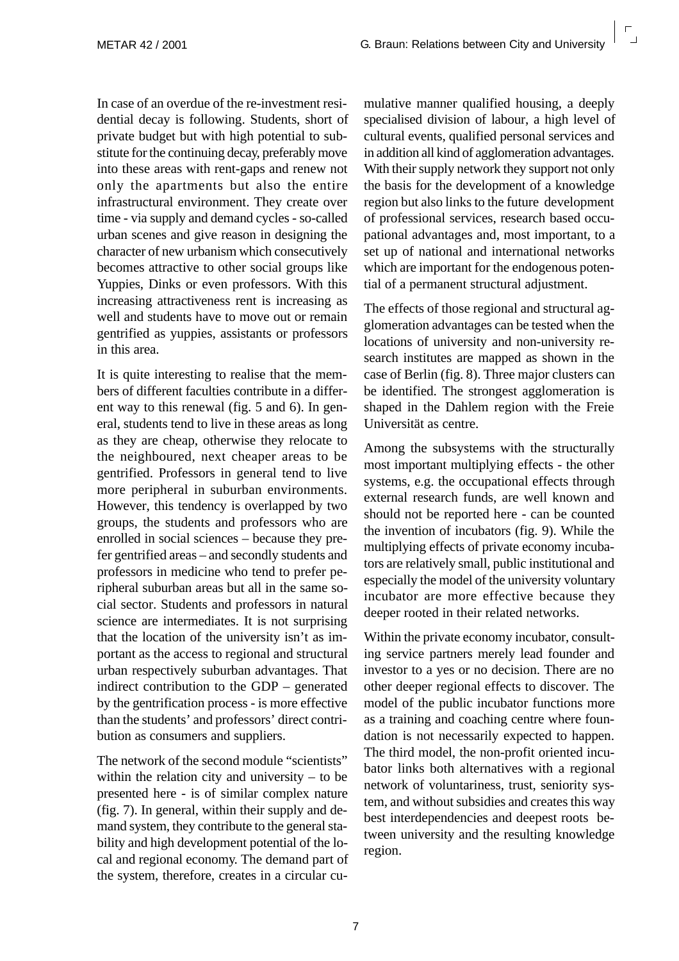In case of an overdue of the re-investment residential decay is following. Students, short of private budget but with high potential to substitute for the continuing decay, preferably move into these areas with rent-gaps and renew not only the apartments but also the entire infrastructural environment. They create over time - via supply and demand cycles - so-called urban scenes and give reason in designing the character of new urbanism which consecutively becomes attractive to other social groups like Yuppies, Dinks or even professors. With this increasing attractiveness rent is increasing as well and students have to move out or remain gentrified as yuppies, assistants or professors in this area.

It is quite interesting to realise that the members of different faculties contribute in a different way to this renewal (fig. 5 and 6). In general, students tend to live in these areas as long as they are cheap, otherwise they relocate to the neighboured, next cheaper areas to be gentrified. Professors in general tend to live more peripheral in suburban environments. However, this tendency is overlapped by two groups, the students and professors who are enrolled in social sciences – because they prefer gentrified areas – and secondly students and professors in medicine who tend to prefer peripheral suburban areas but all in the same social sector. Students and professors in natural science are intermediates. It is not surprising that the location of the university isn't as important as the access to regional and structural urban respectively suburban advantages. That indirect contribution to the GDP – generated by the gentrification process - is more effective than the students' and professors' direct contribution as consumers and suppliers.

The network of the second module "scientists" within the relation city and university – to be presented here - is of similar complex nature (fig. 7). In general, within their supply and demand system, they contribute to the general stability and high development potential of the local and regional economy. The demand part of the system, therefore, creates in a circular cumulative manner qualified housing, a deeply specialised division of labour, a high level of cultural events, qualified personal services and in addition all kind of agglomeration advantages. With their supply network they support not only the basis for the development of a knowledge region but also links to the future development of professional services, research based occupational advantages and, most important, to a set up of national and international networks which are important for the endogenous potential of a permanent structural adjustment.

The effects of those regional and structural agglomeration advantages can be tested when the locations of university and non-university research institutes are mapped as shown in the case of Berlin (fig. 8). Three major clusters can be identified. The strongest agglomeration is shaped in the Dahlem region with the Freie Universität as centre.

Among the subsystems with the structurally most important multiplying effects - the other systems, e.g. the occupational effects through external research funds, are well known and should not be reported here - can be counted the invention of incubators (fig. 9). While the multiplying effects of private economy incubators are relatively small, public institutional and especially the model of the university voluntary incubator are more effective because they deeper rooted in their related networks.

Within the private economy incubator, consulting service partners merely lead founder and investor to a yes or no decision. There are no other deeper regional effects to discover. The model of the public incubator functions more as a training and coaching centre where foundation is not necessarily expected to happen. The third model, the non-profit oriented incubator links both alternatives with a regional network of voluntariness, trust, seniority system, and without subsidies and creates this way best interdependencies and deepest roots between university and the resulting knowledge region.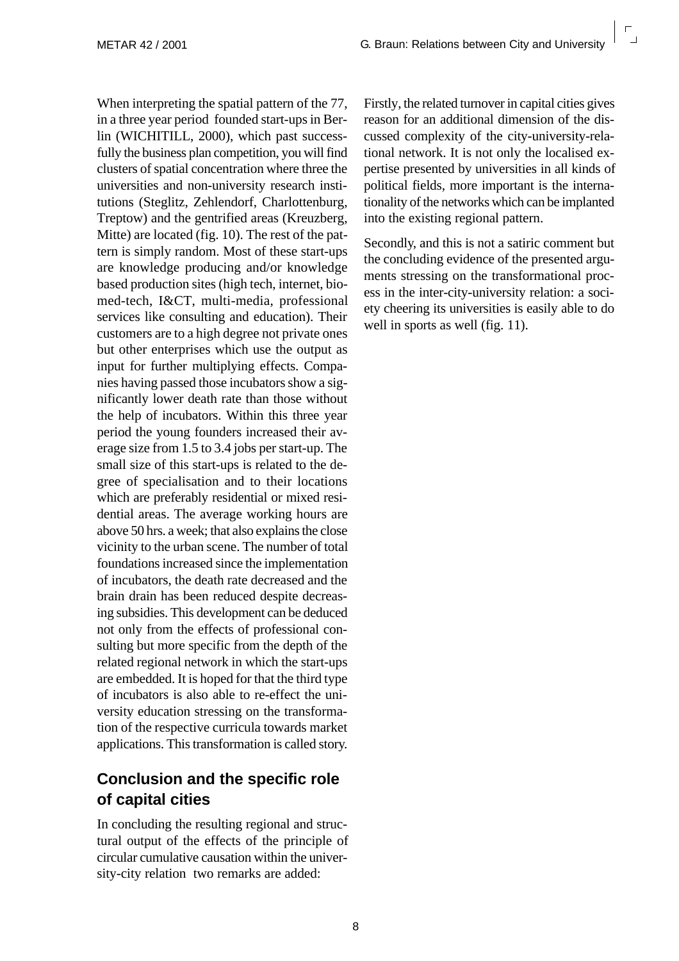When interpreting the spatial pattern of the 77, in a three year period founded start-ups in Berlin (WICHITILL, 2000), which past successfully the business plan competition, you will find clusters of spatial concentration where three the universities and non-university research institutions (Steglitz, Zehlendorf, Charlottenburg, Treptow) and the gentrified areas (Kreuzberg, Mitte) are located (fig. 10). The rest of the pattern is simply random. Most of these start-ups are knowledge producing and/or knowledge based production sites (high tech, internet, biomed-tech, I&CT, multi-media, professional services like consulting and education). Their customers are to a high degree not private ones but other enterprises which use the output as input for further multiplying effects. Companies having passed those incubators show a significantly lower death rate than those without the help of incubators. Within this three year period the young founders increased their average size from 1.5 to 3.4 jobs per start-up. The small size of this start-ups is related to the degree of specialisation and to their locations which are preferably residential or mixed residential areas. The average working hours are above 50 hrs. a week; that also explains the close vicinity to the urban scene. The number of total foundations increased since the implementation of incubators, the death rate decreased and the brain drain has been reduced despite decreasing subsidies. This development can be deduced not only from the effects of professional consulting but more specific from the depth of the related regional network in which the start-ups are embedded. It is hoped for that the third type of incubators is also able to re-effect the university education stressing on the transformation of the respective curricula towards market applications. This transformation is called story.

#### **Conclusion and the specific role of capital cities**

In concluding the resulting regional and structural output of the effects of the principle of circular cumulative causation within the university-city relation two remarks are added:

Firstly, the related turnover in capital cities gives reason for an additional dimension of the discussed complexity of the city-university-relational network. It is not only the localised expertise presented by universities in all kinds of political fields, more important is the internationality of the networks which can be implanted into the existing regional pattern.

Secondly, and this is not a satiric comment but the concluding evidence of the presented arguments stressing on the transformational process in the inter-city-university relation: a society cheering its universities is easily able to do well in sports as well (fig. 11).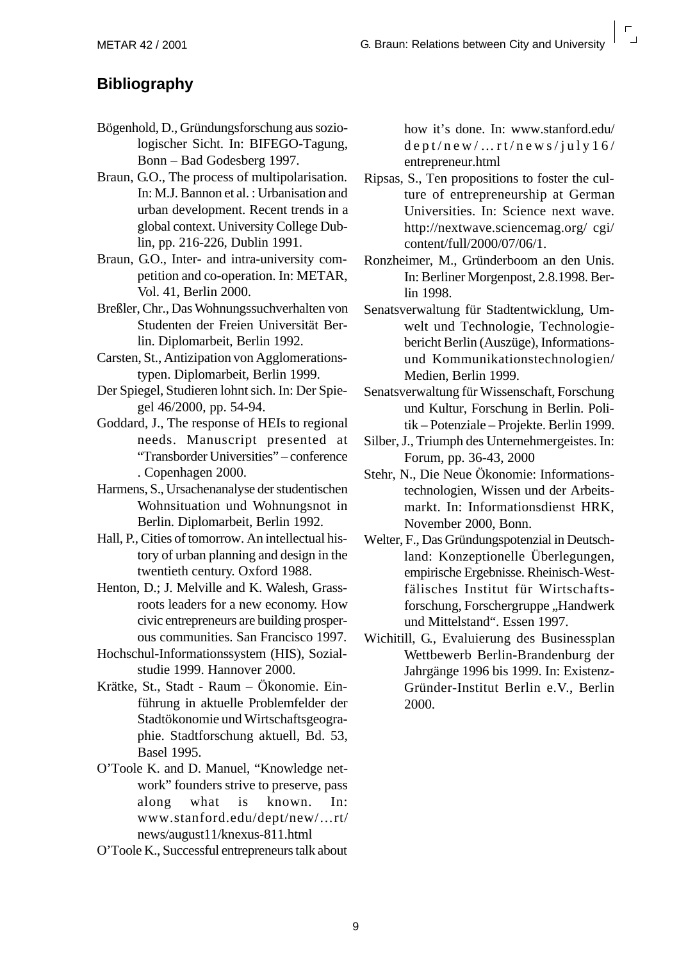#### **Bibliography**

- Bögenhold, D., Gründungsforschung aus soziologischer Sicht. In: BIFEGO-Tagung, Bonn – Bad Godesberg 1997.
- Braun, G.O., The process of multipolarisation. In: M.J. Bannon et al. : Urbanisation and urban development. Recent trends in a global context. University College Dublin, pp. 216-226, Dublin 1991.
- Braun, G.O., Inter- and intra-university competition and co-operation. In: METAR, Vol. 41, Berlin 2000.
- Breßler, Chr., Das Wohnungssuchverhalten von Studenten der Freien Universität Berlin. Diplomarbeit, Berlin 1992.
- Carsten, St., Antizipation von Agglomerationstypen. Diplomarbeit, Berlin 1999.
- Der Spiegel, Studieren lohnt sich. In: Der Spiegel 46/2000, pp. 54-94.
- Goddard, J., The response of HEIs to regional needs. Manuscript presented at "Transborder Universities" – conference . Copenhagen 2000.
- Harmens, S., Ursachenanalyse der studentischen Wohnsituation und Wohnungsnot in Berlin. Diplomarbeit, Berlin 1992.
- Hall, P., Cities of tomorrow. An intellectual history of urban planning and design in the twentieth century. Oxford 1988.
- Henton, D.; J. Melville and K. Walesh, Grassroots leaders for a new economy. How civic entrepreneurs are building prosperous communities. San Francisco 1997.
- Hochschul-Informationssystem (HIS), Sozialstudie 1999. Hannover 2000.
- Krätke, St., Stadt Raum Ökonomie. Einführung in aktuelle Problemfelder der Stadtökonomie und Wirtschaftsgeographie. Stadtforschung aktuell, Bd. 53, Basel 1995.
- O'Toole K. and D. Manuel, "Knowledge network" founders strive to preserve, pass along what is known. In: www.stanford.edu/dept/new/…rt/ news/august11/knexus-811.html
- O'Toole K., Successful entrepreneurs talk about

how it's done. In: www.stanford.edu/ dept/new/…rt/news/july16/ entrepreneur.html

- Ripsas, S., Ten propositions to foster the culture of entrepreneurship at German Universities. In: Science next wave. http://nextwave.sciencemag.org/ cgi/ content/full/2000/07/06/1.
- Ronzheimer, M., Gründerboom an den Unis. In: Berliner Morgenpost, 2.8.1998. Berlin 1998.
- Senatsverwaltung für Stadtentwicklung, Umwelt und Technologie, Technologiebericht Berlin (Auszüge), Informationsund Kommunikationstechnologien/ Medien, Berlin 1999.
- Senatsverwaltung für Wissenschaft, Forschung und Kultur, Forschung in Berlin. Politik – Potenziale – Projekte. Berlin 1999.
- Silber, J., Triumph des Unternehmergeistes. In: Forum, pp. 36-43, 2000
- Stehr, N., Die Neue Ökonomie: Informationstechnologien, Wissen und der Arbeitsmarkt. In: Informationsdienst HRK, November 2000, Bonn.
- Welter, F., Das Gründungspotenzial in Deutschland: Konzeptionelle Überlegungen, empirische Ergebnisse. Rheinisch-Westfälisches Institut für Wirtschaftsforschung, Forschergruppe "Handwerk und Mittelstand". Essen 1997.
- Wichitill, G., Evaluierung des Businessplan Wettbewerb Berlin-Brandenburg der Jahrgänge 1996 bis 1999. In: Existenz-Gründer-Institut Berlin e.V., Berlin 2000.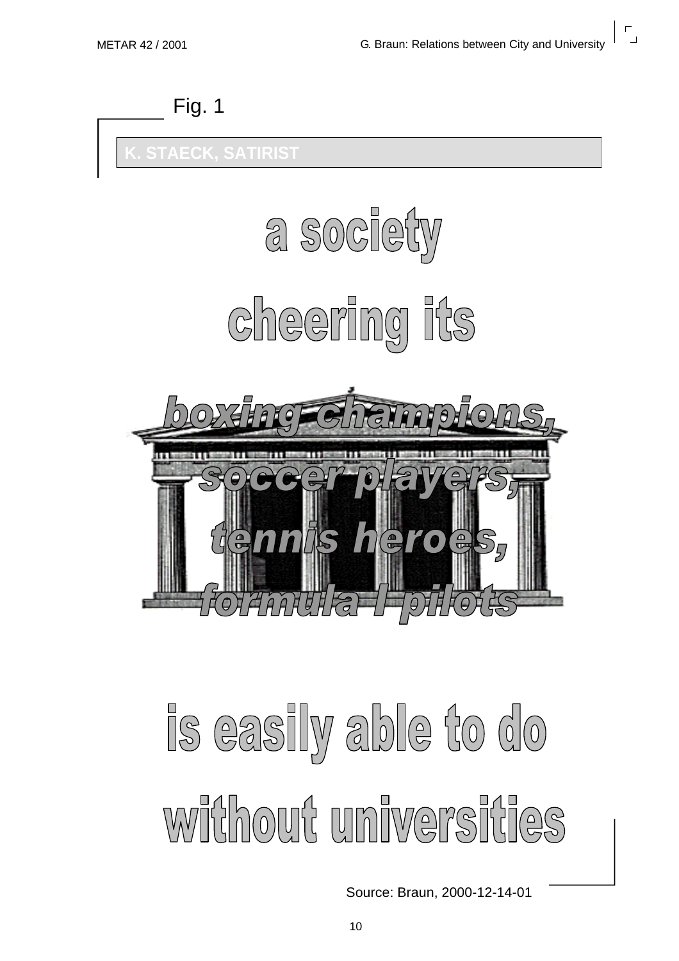



# is easily able to do witthout universities

Source: Braun, 2000-12-14-01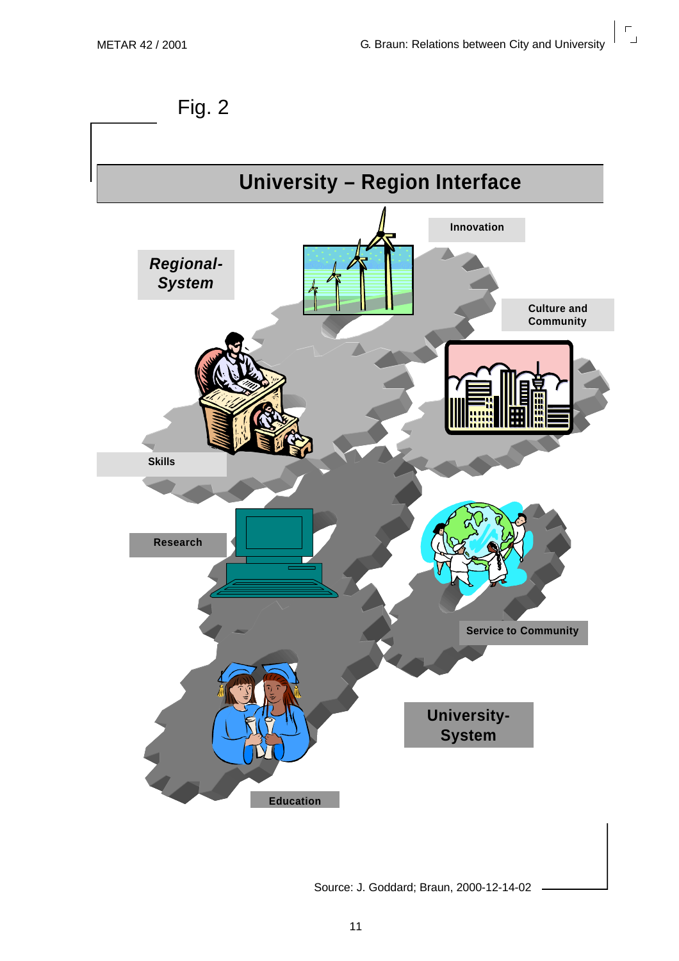$\mathsf{r}$ 





Source: J. Goddard; Braun, 2000-12-14-02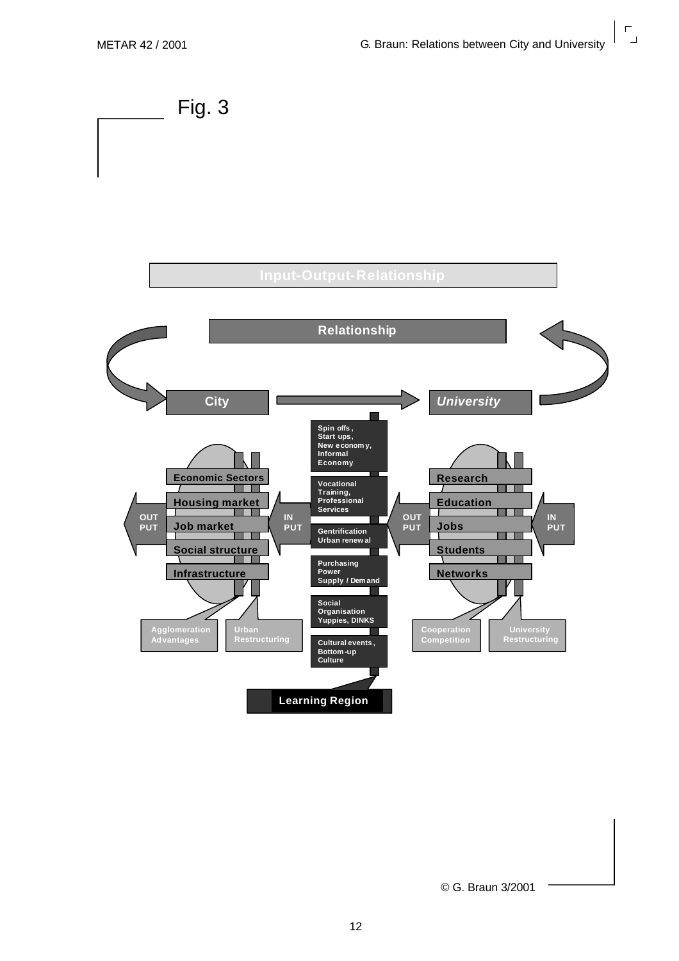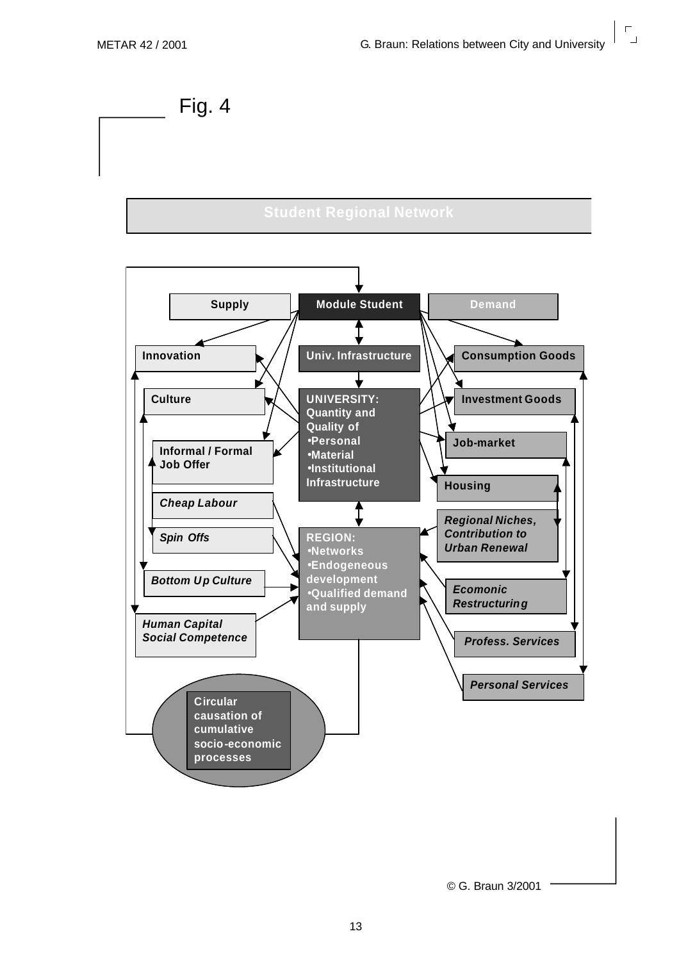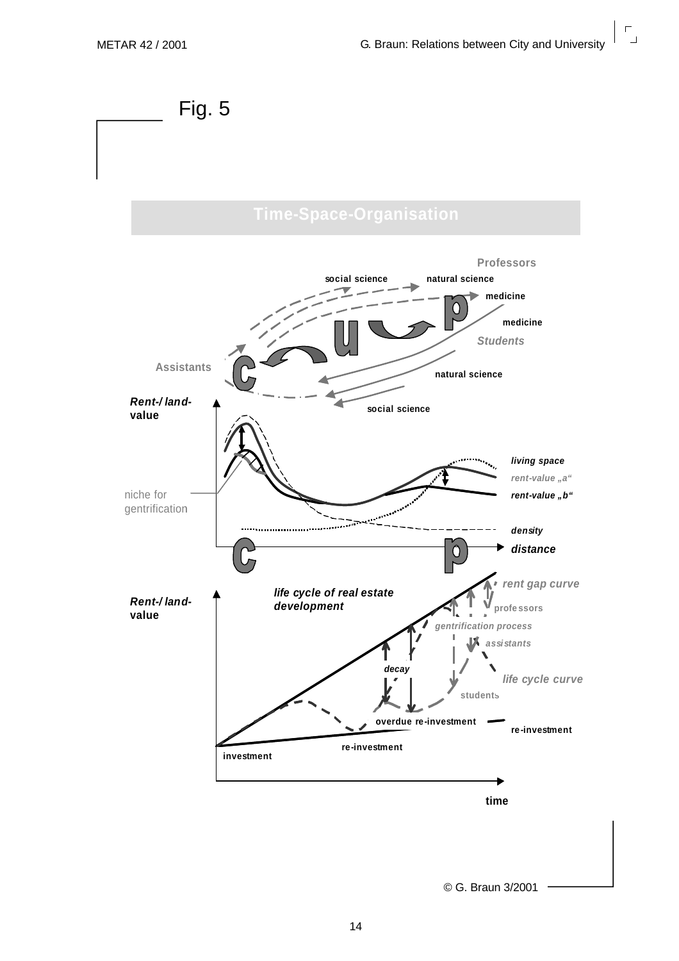$\mathsf{r}$  $\overline{\phantom{0}}$ 

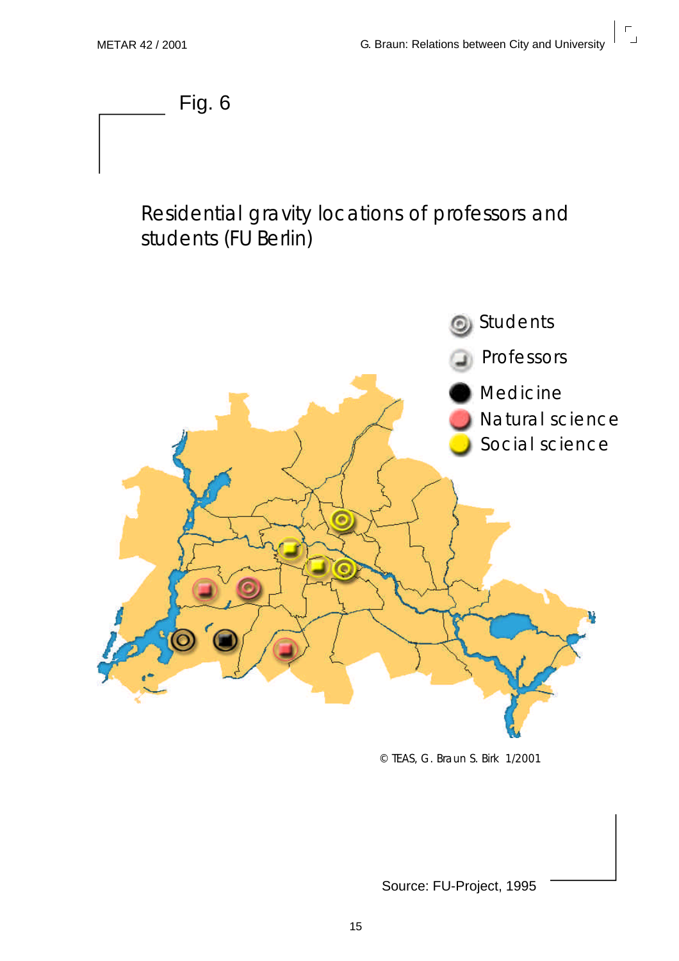$\overline{\mathbf{r}}$ 

Fig. 6

#### Residential gravity locations of professors and students (FU Berlin)



© TEAS, G. Braun S. Birk 1/2001

Source: FU-Project, 1995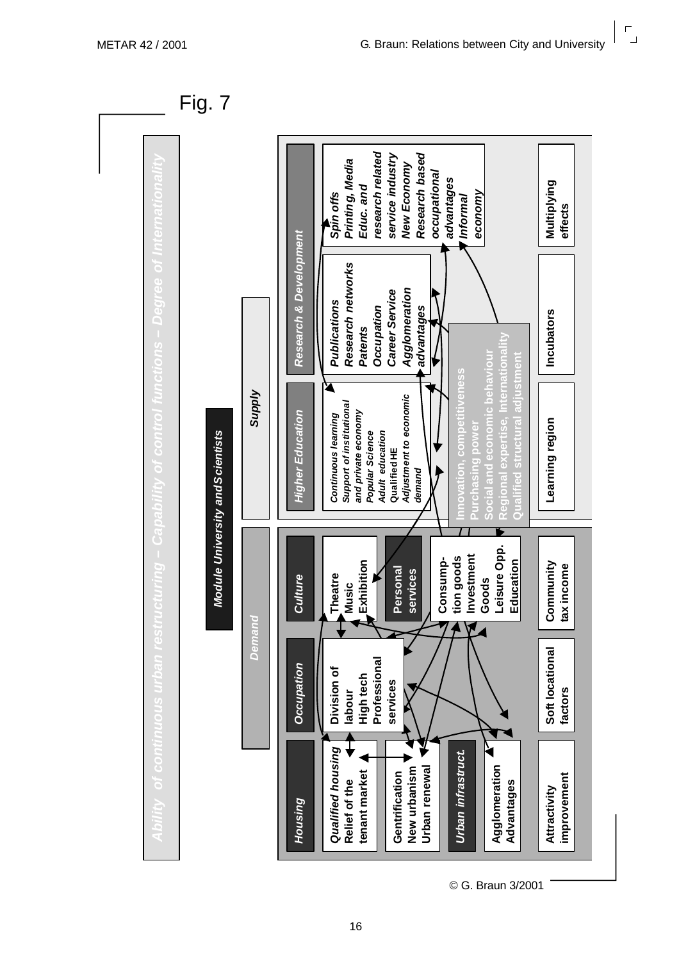$\mathsf{r}$  $\overline{\mathbf{r}}$ 

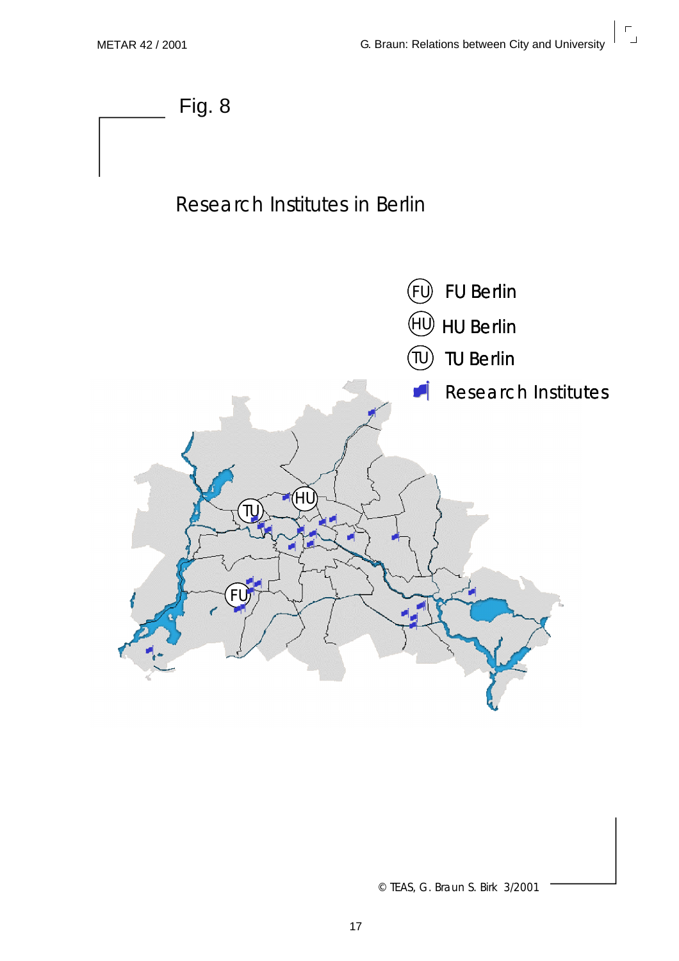

© TEAS, G. Braun S. Birk 3/2001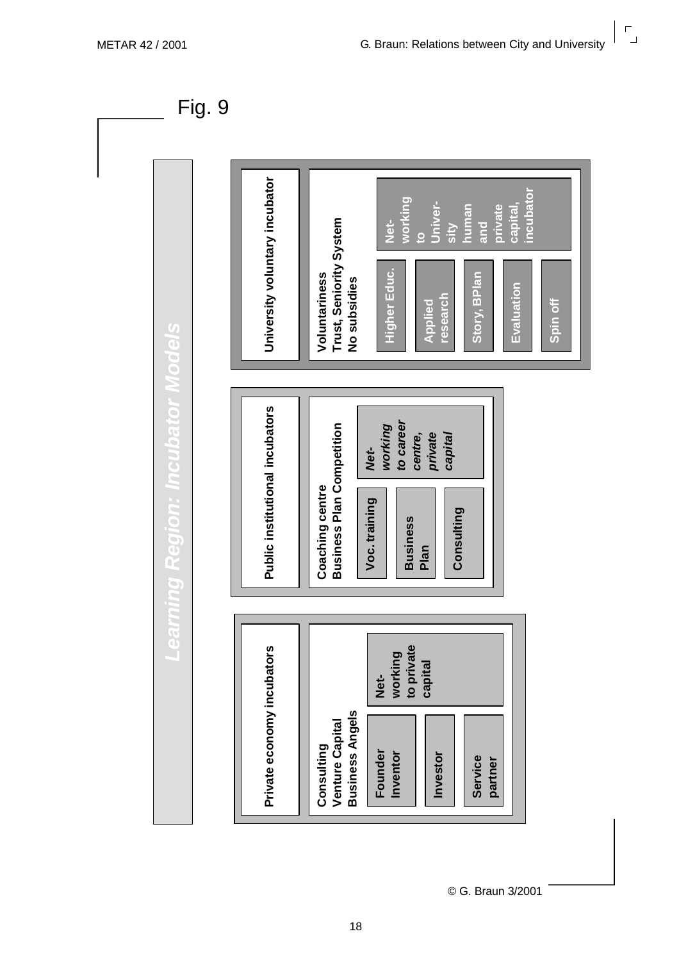$\mathbf{r}_{\mathbf{p}}$ 



© G. Braun 3/2001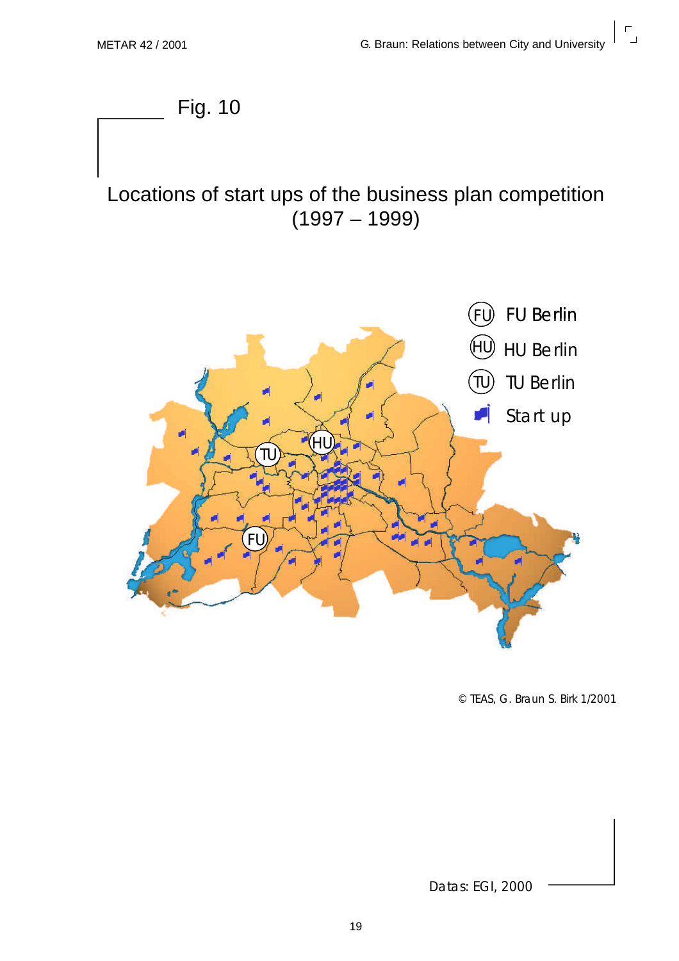$\overline{\mathbf{r}}$ 



© TEAS, G. Braun S. Birk 1/2001

Datas: EGI, 2000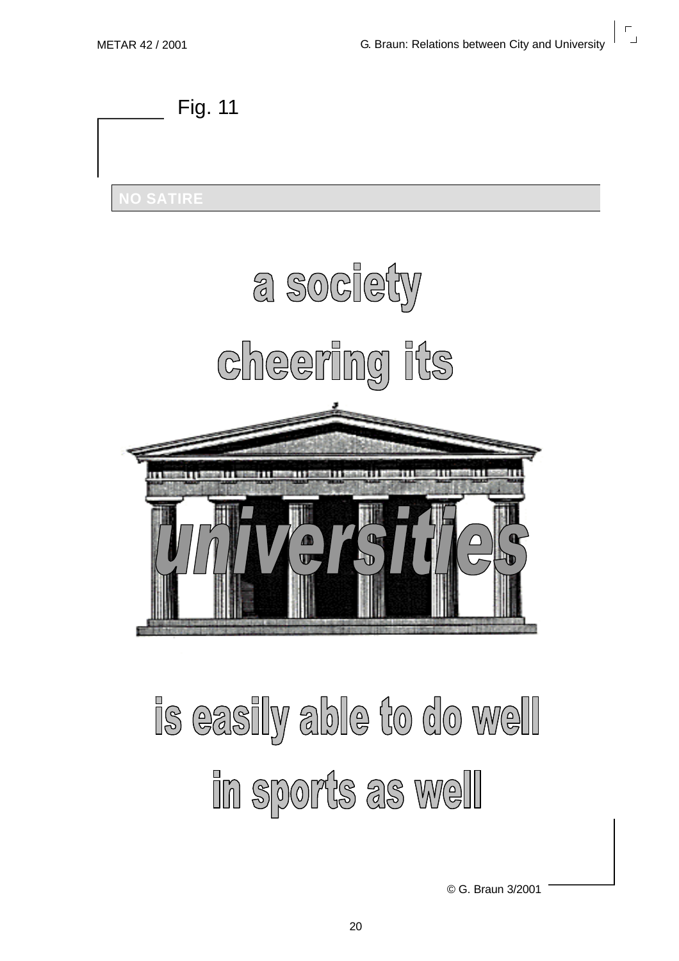

## is easily able to do well In sports as well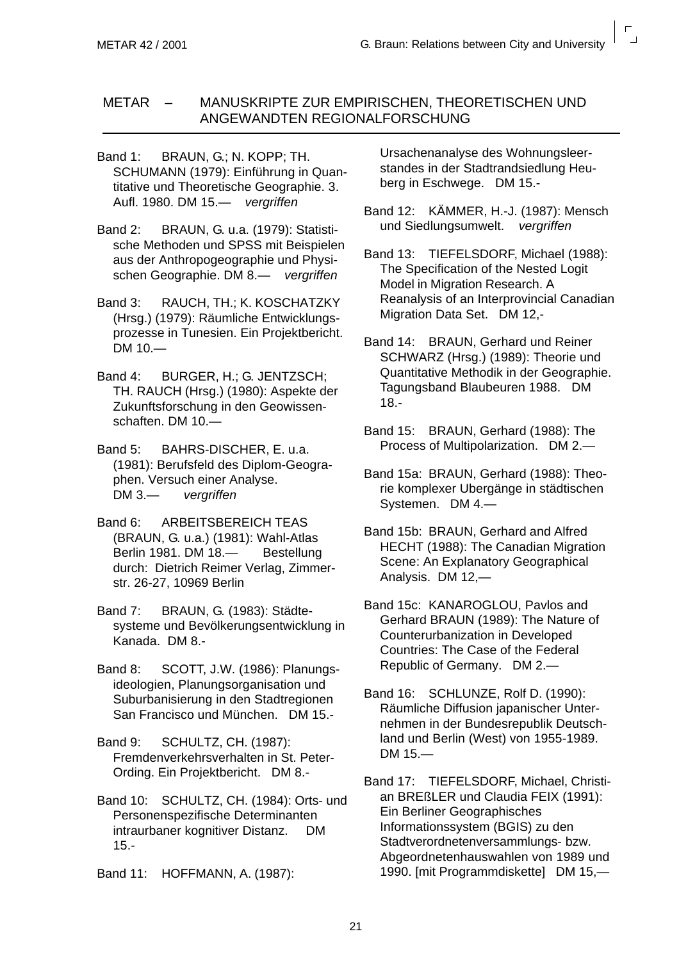#### METAR – MANUSKRIPTE ZUR EMPIRISCHEN, THEORETISCHEN UND ANGEWANDTEN REGIONALFORSCHUNG

Band 1: BRAUN, G.; N. KOPP: TH. SCHUMANN (1979): Einführung in Quantitative und Theoretische Geographie. 3. Aufl. 1980. DM 15.— *vergriffen*

Band 2: BRAUN, G. u.a. (1979): Statistische Methoden und SPSS mit Beispielen aus der Anthropogeographie und Physischen Geographie. DM 8.— *vergriffen*

Band 3: RAUCH, TH.; K. KOSCHATZKY (Hrsg.) (1979): Räumliche Entwicklungsprozesse in Tunesien. Ein Projektbericht. DM 10.—

Band 4: BURGER, H.; G. JENTZSCH; TH. RAUCH (Hrsg.) (1980): Aspekte der Zukunftsforschung in den Geowissenschaften. DM 10.—

Band 5: BAHRS-DISCHER, E. u.a. (1981): Berufsfeld des Diplom-Geographen. Versuch einer Analyse.<br>DM 3.— verariffen  $verariffen$ 

Band 6: ARBEITSBEREICH TEAS (BRAUN, G. u.a.) (1981): Wahl-Atlas Berlin 1981. DM 18.— Bestellung durch: Dietrich Reimer Verlag, Zimmerstr. 26-27, 10969 Berlin

Band 7: BRAUN, G. (1983): Städtesysteme und Bevölkerungsentwicklung in Kanada. DM 8.-

Band 8: SCOTT, J.W. (1986): Planungsideologien, Planungsorganisation und Suburbanisierung in den Stadtregionen San Francisco und München. DM 15.-

Band 9: SCHULTZ, CH. (1987): Fremdenverkehrsverhalten in St. Peter-Ording. Ein Projektbericht. DM 8.-

Band 10: SCHULTZ, CH. (1984): Orts- und Personenspezifische Determinanten intraurbaner kognitiver Distanz. DM 15.-

Band 11: HOFFMANN, A. (1987):

Ursachenanalyse des Wohnungsleerstandes in der Stadtrandsiedlung Heuberg in Eschwege. DM 15.-

Band 12: KÄMMER, H.-J. (1987): Mensch und Siedlungsumwelt. *vergriffen*

Band 13: TIEFELSDORF, Michael (1988): The Specification of the Nested Logit Model in Migration Research. A Reanalysis of an Interprovincial Canadian Migration Data Set. DM 12,-

Band 14: BRAUN, Gerhard und Reiner SCHWARZ (Hrsg.) (1989): Theorie und Quantitative Methodik in der Geographie. Tagungsband Blaubeuren 1988. DM 18.-

Band 15: BRAUN, Gerhard (1988): The Process of Multipolarization. DM 2.—

Band 15a: BRAUN, Gerhard (1988): Theorie komplexer Ubergänge in städtischen Systemen. DM 4.—

Band 15b: BRAUN, Gerhard and Alfred HECHT (1988): The Canadian Migration Scene: An Explanatory Geographical Analysis. DM 12,—

Band 15c: KANAROGLOU, Pavlos and Gerhard BRAUN (1989): The Nature of Counterurbanization in Developed Countries: The Case of the Federal Republic of Germany. DM 2.—

Band 16: SCHLUNZE, Rolf D. (1990): Räumliche Diffusion japanischer Unternehmen in der Bundesrepublik Deutschland und Berlin (West) von 1955-1989. DM 15.—

Band 17: TIEFELSDORF, Michael, Christian BREßLER und Claudia FEIX (1991): Ein Berliner Geographisches Informationssystem (BGIS) zu den Stadtverordnetenversammlungs- bzw. Abgeordnetenhauswahlen von 1989 und 1990. [mit Programmdiskette] DM 15,—